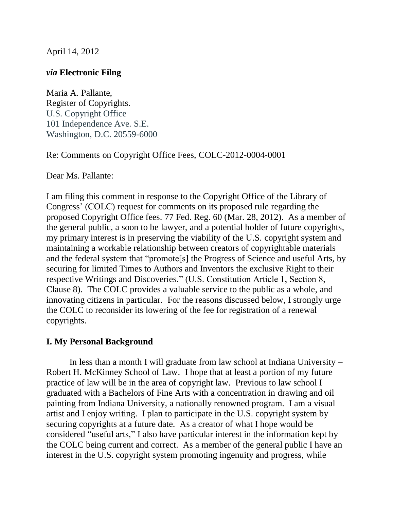April 14, 2012

## *via* **Electronic Filng**

Maria A. Pallante, Register of Copyrights. U.S. Copyright Office 101 Independence Ave. S.E. Washington, D.C. 20559-6000

Re: Comments on Copyright Office Fees, COLC-2012-0004-0001

Dear Ms. Pallante:

I am filing this comment in response to the Copyright Office of the Library of Congress' (COLC) request for comments on its proposed rule regarding the proposed Copyright Office fees. 77 Fed. Reg. 60 (Mar. 28, 2012). As a member of the general public, a soon to be lawyer, and a potential holder of future copyrights, my primary interest is in preserving the viability of the U.S. copyright system and maintaining a workable relationship between creators of copyrightable materials and the federal system that "promote[s] the Progress of Science and useful Arts, by securing for limited Times to Authors and Inventors the exclusive Right to their respective Writings and Discoveries." (U.S. Constitution Article 1, Section 8, Clause 8). The COLC provides a valuable service to the public as a whole, and innovating citizens in particular. For the reasons discussed below, I strongly urge the COLC to reconsider its lowering of the fee for registration of a renewal copyrights.

# **I. My Personal Background**

In less than a month I will graduate from law school at Indiana University – Robert H. McKinney School of Law. I hope that at least a portion of my future practice of law will be in the area of copyright law. Previous to law school I graduated with a Bachelors of Fine Arts with a concentration in drawing and oil painting from Indiana University, a nationally renowned program. I am a visual artist and I enjoy writing. I plan to participate in the U.S. copyright system by securing copyrights at a future date. As a creator of what I hope would be considered "useful arts," I also have particular interest in the information kept by the COLC being current and correct. As a member of the general public I have an interest in the U.S. copyright system promoting ingenuity and progress, while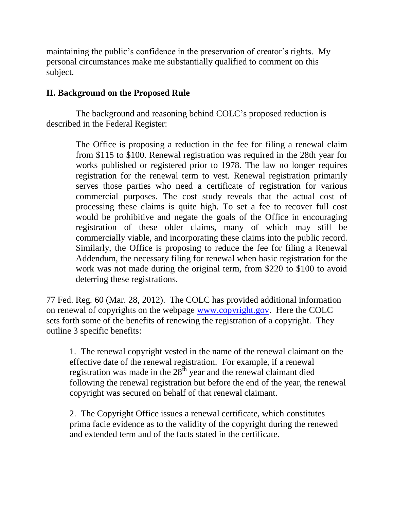maintaining the public's confidence in the preservation of creator's rights. My personal circumstances make me substantially qualified to comment on this subject.

# **II. Background on the Proposed Rule**

The background and reasoning behind COLC's proposed reduction is described in the Federal Register:

> The Office is proposing a reduction in the fee for filing a renewal claim from \$115 to \$100. Renewal registration was required in the 28th year for works published or registered prior to 1978. The law no longer requires registration for the renewal term to vest. Renewal registration primarily serves those parties who need a certificate of registration for various commercial purposes. The cost study reveals that the actual cost of processing these claims is quite high. To set a fee to recover full cost would be prohibitive and negate the goals of the Office in encouraging registration of these older claims, many of which may still be commercially viable, and incorporating these claims into the public record. Similarly, the Office is proposing to reduce the fee for filing a Renewal Addendum, the necessary filing for renewal when basic registration for the work was not made during the original term, from \$220 to \$100 to avoid deterring these registrations.

77 Fed. Reg. 60 (Mar. 28, 2012). The COLC has provided additional information on renewal of copyrights on the webpage [www.copyright.gov.](http://www.copyright.gov/) Here the COLC sets forth some of the benefits of renewing the registration of a copyright. They outline 3 specific benefits:

1. The renewal copyright vested in the name of the renewal claimant on the effective date of the renewal registration. For example, if a renewal registration was made in the  $28<sup>th</sup>$  year and the renewal claimant died following the renewal registration but before the end of the year, the renewal copyright was secured on behalf of that renewal claimant.

2. The Copyright Office issues a renewal certificate, which constitutes prima facie evidence as to the validity of the copyright during the renewed and extended term and of the facts stated in the certificate.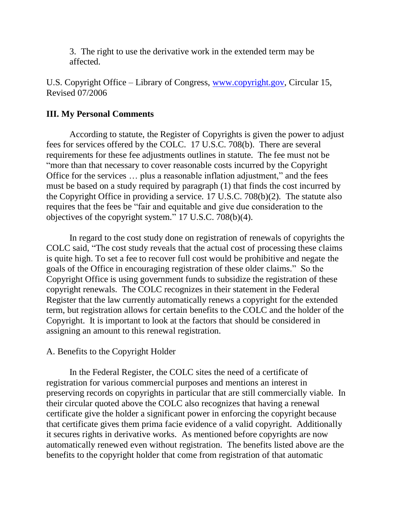3. The right to use the derivative work in the extended term may be affected.

U.S. Copyright Office – Library of Congress, [www.copyright.gov,](http://www.copyright.gov/) Circular 15, Revised 07/2006

### **III. My Personal Comments**

According to statute, the Register of Copyrights is given the power to adjust fees for services offered by the COLC. 17 U.S.C. 708(b). There are several requirements for these fee adjustments outlines in statute. The fee must not be "more than that necessary to cover reasonable costs incurred by the Copyright Office for the services … plus a reasonable inflation adjustment," and the fees must be based on a study required by paragraph (1) that finds the cost incurred by the Copyright Office in providing a service. 17 U.S.C. 708(b)(2). The statute also requires that the fees be "fair and equitable and give due consideration to the objectives of the copyright system." 17 U.S.C. 708(b)(4).

In regard to the cost study done on registration of renewals of copyrights the COLC said, "The cost study reveals that the actual cost of processing these claims is quite high. To set a fee to recover full cost would be prohibitive and negate the goals of the Office in encouraging registration of these older claims." So the Copyright Office is using government funds to subsidize the registration of these copyright renewals. The COLC recognizes in their statement in the Federal Register that the law currently automatically renews a copyright for the extended term, but registration allows for certain benefits to the COLC and the holder of the Copyright. It is important to look at the factors that should be considered in assigning an amount to this renewal registration.

### A. Benefits to the Copyright Holder

In the Federal Register, the COLC sites the need of a certificate of registration for various commercial purposes and mentions an interest in preserving records on copyrights in particular that are still commercially viable. In their circular quoted above the COLC also recognizes that having a renewal certificate give the holder a significant power in enforcing the copyright because that certificate gives them prima facie evidence of a valid copyright. Additionally it secures rights in derivative works. As mentioned before copyrights are now automatically renewed even without registration. The benefits listed above are the benefits to the copyright holder that come from registration of that automatic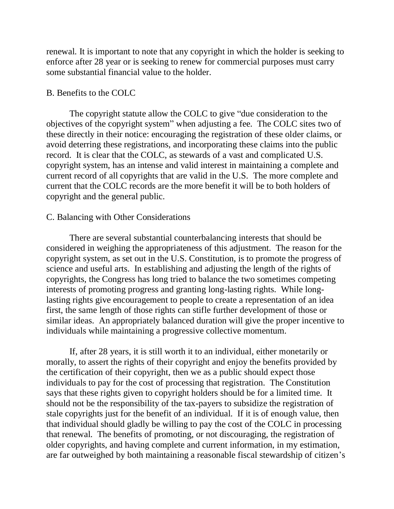renewal. It is important to note that any copyright in which the holder is seeking to enforce after 28 year or is seeking to renew for commercial purposes must carry some substantial financial value to the holder.

#### B. Benefits to the COLC

The copyright statute allow the COLC to give "due consideration to the objectives of the copyright system" when adjusting a fee. The COLC sites two of these directly in their notice: encouraging the registration of these older claims, or avoid deterring these registrations, and incorporating these claims into the public record. It is clear that the COLC, as stewards of a vast and complicated U.S. copyright system, has an intense and valid interest in maintaining a complete and current record of all copyrights that are valid in the U.S. The more complete and current that the COLC records are the more benefit it will be to both holders of copyright and the general public.

### C. Balancing with Other Considerations

There are several substantial counterbalancing interests that should be considered in weighing the appropriateness of this adjustment. The reason for the copyright system, as set out in the U.S. Constitution, is to promote the progress of science and useful arts. In establishing and adjusting the length of the rights of copyrights, the Congress has long tried to balance the two sometimes competing interests of promoting progress and granting long-lasting rights. While longlasting rights give encouragement to people to create a representation of an idea first, the same length of those rights can stifle further development of those or similar ideas. An appropriately balanced duration will give the proper incentive to individuals while maintaining a progressive collective momentum.

If, after 28 years, it is still worth it to an individual, either monetarily or morally, to assert the rights of their copyright and enjoy the benefits provided by the certification of their copyright, then we as a public should expect those individuals to pay for the cost of processing that registration. The Constitution says that these rights given to copyright holders should be for a limited time. It should not be the responsibility of the tax-payers to subsidize the registration of stale copyrights just for the benefit of an individual. If it is of enough value, then that individual should gladly be willing to pay the cost of the COLC in processing that renewal. The benefits of promoting, or not discouraging, the registration of older copyrights, and having complete and current information, in my estimation, are far outweighed by both maintaining a reasonable fiscal stewardship of citizen's